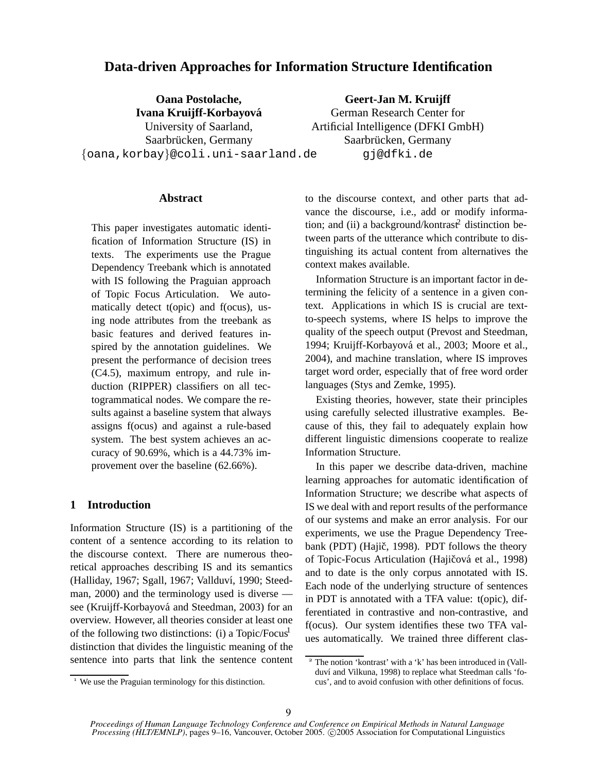# **Data-driven Approaches for Information Structure Identification**

**Oana Postolache, Ivana Kruijff-Korbayova´** University of Saarland, Saarbrücken, Germany {oana,korbay}@coli.uni-saarland.de

**Geert-Jan M. Kruijff** German Research Center for Artificial Intelligence (DFKI GmbH) Saarbrücken, Germany gj@dfki.de

# **Abstract**

This paper investigates automatic identification of Information Structure (IS) in texts. The experiments use the Prague Dependency Treebank which is annotated with IS following the Praguian approach of Topic Focus Articulation. We automatically detect t(opic) and f(ocus), using node attributes from the treebank as basic features and derived features inspired by the annotation guidelines. We present the performance of decision trees (C4.5), maximum entropy, and rule induction (RIPPER) classifiers on all tectogrammatical nodes. We compare the results against a baseline system that always assigns f(ocus) and against a rule-based system. The best system achieves an accuracy of 90.69%, which is a 44.73% improvement over the baseline (62.66%).

## **1 Introduction**

Information Structure (IS) is a partitioning of the content of a sentence according to its relation to the discourse context. There are numerous theoretical approaches describing IS and its semantics (Halliday, 1967; Sgall, 1967; Vallduví, 1990; Steedman, 2000) and the terminology used is diverse see (Kruijff-Korbayová and Steedman, 2003) for an overview. However, all theories consider at least one of the following two distinctions: (i) a Topic/Focus<sup>1</sup> distinction that divides the linguistic meaning of the sentence into parts that link the sentence content to the discourse context, and other parts that advance the discourse, i.e., add or modify information; and (ii) a background/kontrast<sup>2</sup> distinction between parts of the utterance which contribute to distinguishing its actual content from alternatives the context makes available.

Information Structure is an important factor in determining the felicity of a sentence in a given context. Applications in which IS is crucial are textto-speech systems, where IS helps to improve the quality of the speech output (Prevost and Steedman, 1994; Kruijff-Korbayová et al., 2003; Moore et al., 2004), and machine translation, where IS improves target word order, especially that of free word order languages (Stys and Zemke, 1995).

Existing theories, however, state their principles using carefully selected illustrative examples. Because of this, they fail to adequately explain how different linguistic dimensions cooperate to realize Information Structure.

In this paper we describe data-driven, machine learning approaches for automatic identification of Information Structure; we describe what aspects of IS we deal with and report results of the performance of our systems and make an error analysis. For our experiments, we use the Prague Dependency Treebank (PDT) (Hajič, 1998). PDT follows the theory of Topic-Focus Articulation (Hajičová et al., 1998) and to date is the only corpus annotated with IS. Each node of the underlying structure of sentences in PDT is annotated with a TFA value: t(opic), differentiated in contrastive and non-contrastive, and f(ocus). Our system identifies these two TFA values automatically. We trained three different clas-

<sup>&</sup>lt;sup>1</sup> We use the Praguian terminology for this distinction.

<sup>&</sup>lt;sup>2</sup> The notion 'kontrast' with a 'k' has been introduced in (Vallduví and Vilkuna, 1998) to replace what Steedman calls 'focus', and to avoid confusion with other definitions of focus.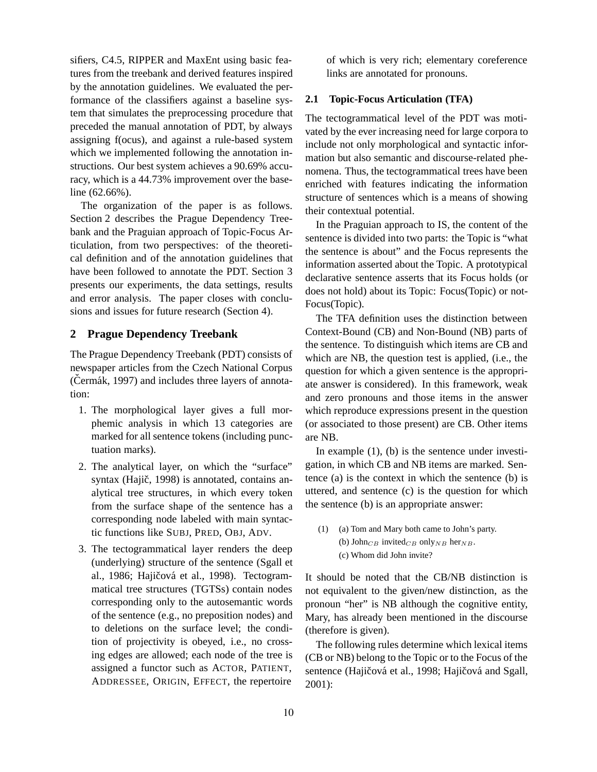sifiers, C4.5, RIPPER and MaxEnt using basic features from the treebank and derived features inspired by the annotation guidelines. We evaluated the performance of the classifiers against a baseline system that simulates the preprocessing procedure that preceded the manual annotation of PDT, by always assigning f(ocus), and against a rule-based system which we implemented following the annotation instructions. Our best system achieves a 90.69% accuracy, which is a 44.73% improvement over the baseline (62.66%).

The organization of the paper is as follows. Section 2 describes the Prague Dependency Treebank and the Praguian approach of Topic-Focus Articulation, from two perspectives: of the theoretical definition and of the annotation guidelines that have been followed to annotate the PDT. Section 3 presents our experiments, the data settings, results and error analysis. The paper closes with conclusions and issues for future research (Section 4).

## **2 Prague Dependency Treebank**

The Prague Dependency Treebank (PDT) consists of newspaper articles from the Czech National Corpus  $(Cermák, 1997)$  and includes three layers of annotation:

- 1. The morphological layer gives a full morphemic analysis in which 13 categories are marked for all sentence tokens (including punctuation marks).
- 2. The analytical layer, on which the "surface" syntax (Hajič, 1998) is annotated, contains analytical tree structures, in which every token from the surface shape of the sentence has a corresponding node labeled with main syntactic functions like SUBJ, PRED, OBJ, ADV.
- 3. The tectogrammatical layer renders the deep (underlying) structure of the sentence (Sgall et al., 1986; Hajičová et al., 1998). Tectogrammatical tree structures (TGTSs) contain nodes corresponding only to the autosemantic words of the sentence (e.g., no preposition nodes) and to deletions on the surface level; the condition of projectivity is obeyed, i.e., no crossing edges are allowed; each node of the tree is assigned a functor such as ACTOR, PATIENT, ADDRESSEE, ORIGIN, EFFECT, the repertoire

of which is very rich; elementary coreference links are annotated for pronouns.

## **2.1 Topic-Focus Articulation (TFA)**

The tectogrammatical level of the PDT was motivated by the ever increasing need for large corpora to include not only morphological and syntactic information but also semantic and discourse-related phenomena. Thus, the tectogrammatical trees have been enriched with features indicating the information structure of sentences which is a means of showing their contextual potential.

In the Praguian approach to IS, the content of the sentence is divided into two parts: the Topic is "what the sentence is about" and the Focus represents the information asserted about the Topic. A prototypical declarative sentence asserts that its Focus holds (or does not hold) about its Topic: Focus(Topic) or not-Focus(Topic).

The TFA definition uses the distinction between Context-Bound (CB) and Non-Bound (NB) parts of the sentence. To distinguish which items are CB and which are NB, the question test is applied, (i.e., the question for which a given sentence is the appropriate answer is considered). In this framework, weak and zero pronouns and those items in the answer which reproduce expressions present in the question (or associated to those present) are CB. Other items are NB.

In example (1), (b) is the sentence under investigation, in which CB and NB items are marked. Sentence (a) is the context in which the sentence (b) is uttered, and sentence (c) is the question for which the sentence (b) is an appropriate answer:

(1) (a) Tom and Mary both came to John's party. (b) John $_{CB}$  invited $_{CB}$  only<sub>NB</sub> her<sub>NB</sub>. (c) Whom did John invite?

It should be noted that the CB/NB distinction is not equivalent to the given/new distinction, as the pronoun "her" is NB although the cognitive entity, Mary, has already been mentioned in the discourse (therefore is given).

The following rules determine which lexical items (CB or NB) belong to the Topic or to the Focus of the sentence (Hajičová et al., 1998; Hajičová and Sgall, 2001):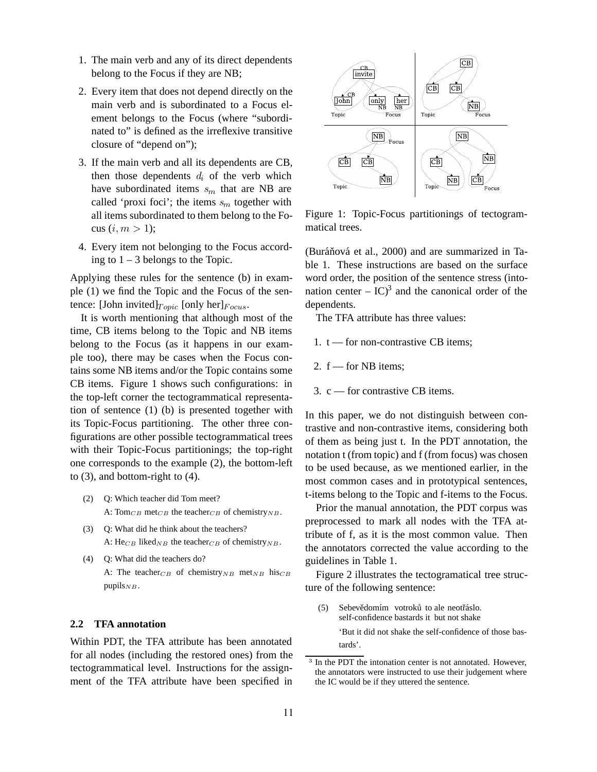- 1. The main verb and any of its direct dependents belong to the Focus if they are NB;
- 2. Every item that does not depend directly on the main verb and is subordinated to a Focus element belongs to the Focus (where "subordinated to" is defined as the irreflexive transitive closure of "depend on");
- 3. If the main verb and all its dependents are CB, then those dependents  $d_i$  of the verb which have subordinated items  $s_m$  that are NB are called 'proxi foci'; the items  $s_m$  together with all items subordinated to them belong to the Focus  $(i, m > 1)$ ;
- 4. Every item not belonging to the Focus according to  $1 - 3$  belongs to the Topic.

Applying these rules for the sentence (b) in example (1) we find the Topic and the Focus of the sentence: [John invited] $_{Topic}$  [only her] $_{Focus}$ .

It is worth mentioning that although most of the time, CB items belong to the Topic and NB items belong to the Focus (as it happens in our example too), there may be cases when the Focus contains some NB items and/or the Topic contains some CB items. Figure 1 shows such configurations: in the top-left corner the tectogrammatical representation of sentence (1) (b) is presented together with its Topic-Focus partitioning. The other three configurations are other possible tectogrammatical trees with their Topic-Focus partitionings; the top-right one corresponds to the example (2), the bottom-left to (3), and bottom-right to (4).

- (2) Q: Which teacher did Tom meet? A: Tom<sub>CB</sub> met<sub>CB</sub> the teacher<sub>CB</sub> of chemistry<sub>NB</sub>.
- (3) Q: What did he think about the teachers? A:  $\text{He}_{CB}$  liked<sub>NB</sub> the teacher<sub>CB</sub> of chemistry<sub>NB</sub>.
- (4) Q: What did the teachers do? A: The teacher<sub>CB</sub> of chemistry<sub>NB</sub> met<sub>NB</sub> his<sub>CB</sub> pupils $_{NB}$ .

# **2.2 TFA annotation**

Within PDT, the TFA attribute has been annotated for all nodes (including the restored ones) from the tectogrammatical level. Instructions for the assignment of the TFA attribute have been specified in



Figure 1: Topic-Focus partitionings of tectogrammatical trees.

(Buráňová et al., 2000) and are summarized in Table 1. These instructions are based on the surface word order, the position of the sentence stress (intonation center –  $IC^3$  and the canonical order of the dependents.

The TFA attribute has three values:

- 1.  $t$  for non-contrastive CB items:
- 2.  $f$  for NB items:
- 3. c for contrastive CB items.

In this paper, we do not distinguish between contrastive and non-contrastive items, considering both of them as being just t. In the PDT annotation, the notation t (from topic) and f (from focus) was chosen to be used because, as we mentioned earlier, in the most common cases and in prototypical sentences, t-items belong to the Topic and f-items to the Focus.

Prior the manual annotation, the PDT corpus was preprocessed to mark all nodes with the TFA attribute of f, as it is the most common value. Then the annotators corrected the value according to the guidelines in Table 1.

Figure 2 illustrates the tectogramatical tree structure of the following sentence:

(5) Sebevědomím votroků to ale neotřáslo. self-confidence bastards it but not shake 'But it did not shake the self-confidence of those bastards'.

<sup>&</sup>lt;sup>3</sup> In the PDT the intonation center is not annotated. However, the annotators were instructed to use their judgement where the IC would be if they uttered the sentence.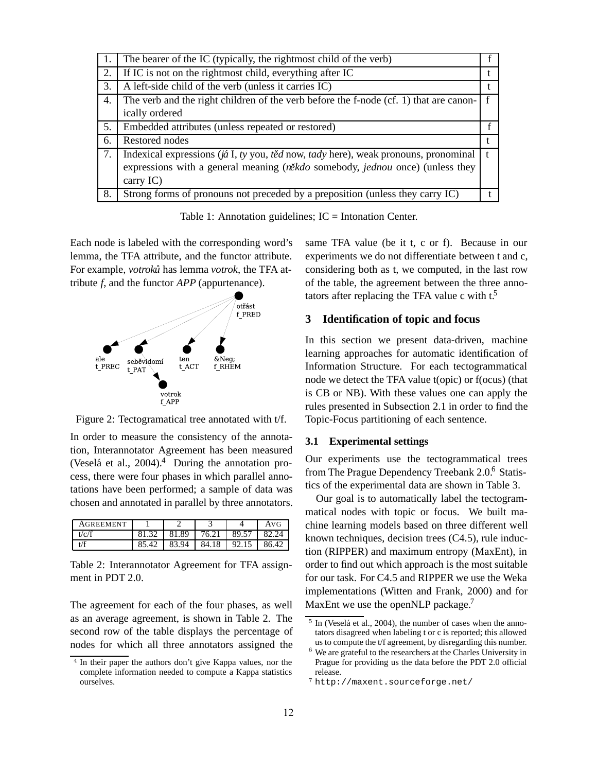| 1. | The bearer of the IC (typically, the rightmost child of the verb)                             |  |
|----|-----------------------------------------------------------------------------------------------|--|
| 2. | If IC is not on the rightmost child, everything after IC                                      |  |
| 3. | A left-side child of the verb (unless it carries IC)                                          |  |
| 4. | The verb and the right children of the verb before the f-node (cf. 1) that are canon-         |  |
|    | ically ordered                                                                                |  |
| 5. | Embedded attributes (unless repeated or restored)                                             |  |
| 6. | Restored nodes                                                                                |  |
| 7. | Indexical expressions ( $j \notin I$ , ty you, těd now, tady here), weak pronouns, pronominal |  |
|    | expressions with a general meaning $(n\text{èkdo somehow}, \text{jednou once})$ (unless they  |  |
|    | carry $IC$ )                                                                                  |  |
| 8. | Strong forms of pronouns not preceded by a preposition (unless they carry IC)                 |  |

Table 1: Annotation guidelines;  $IC = Int$ onation Center.

Each node is labeled with the corresponding word's lemma, the TFA attribute, and the functor attribute. For example, *votroku˚* has lemma *votrok*, the TFA attribute *f*, and the functor *APP* (appurtenance).



Figure 2: Tectogramatical tree annotated with t/f.

In order to measure the consistency of the annotation, Interannotator Agreement has been measured (Veselá et al.,  $2004$ ).<sup>4</sup> During the annotation process, there were four phases in which parallel annotations have been performed; a sample of data was chosen and annotated in parallel by three annotators.

| AGREEMENT |       |       |       |       | AVG   |
|-----------|-------|-------|-------|-------|-------|
| t/c/f     | 81 32 | 81.89 | 76.21 | 89.57 | 82.24 |
|           |       | 83.94 | 84.18 | 92.15 | 86.42 |

Table 2: Interannotator Agreement for TFA assignment in PDT 2.0.

The agreement for each of the four phases, as well as an average agreement, is shown in Table 2. The second row of the table displays the percentage of nodes for which all three annotators assigned the same TFA value (be it t, c or f). Because in our experiments we do not differentiate between t and c, considering both as t, we computed, in the last row of the table, the agreement between the three annotators after replacing the TFA value c with  $t^5$ .

# **3 Identification of topic and focus**

In this section we present data-driven, machine learning approaches for automatic identification of Information Structure. For each tectogrammatical node we detect the TFA value t(opic) or f(ocus) (that is CB or NB). With these values one can apply the rules presented in Subsection 2.1 in order to find the Topic-Focus partitioning of each sentence.

### **3.1 Experimental settings**

Our experiments use the tectogrammatical trees from The Prague Dependency Treebank 2.0.6 Statistics of the experimental data are shown in Table 3.

Our goal is to automatically label the tectogrammatical nodes with topic or focus. We built machine learning models based on three different well known techniques, decision trees (C4.5), rule induction (RIPPER) and maximum entropy (MaxEnt), in order to find out which approach is the most suitable for our task. For C4.5 and RIPPER we use the Weka implementations (Witten and Frank, 2000) and for MaxEnt we use the openNLP package.<sup>7</sup>

<sup>&</sup>lt;sup>4</sup> In their paper the authors don't give Kappa values, nor the complete information needed to compute a Kappa statistics ourselves.

 $5$  In (Veselá et al., 2004), the number of cases when the annotators disagreed when labeling t or c is reported; this allowed us to compute the t/f agreement, by disregarding this number.

<sup>&</sup>lt;sup>6</sup> We are grateful to the researchers at the Charles University in Prague for providing us the data before the PDT 2.0 official release. http://maxent.sourceforge.net/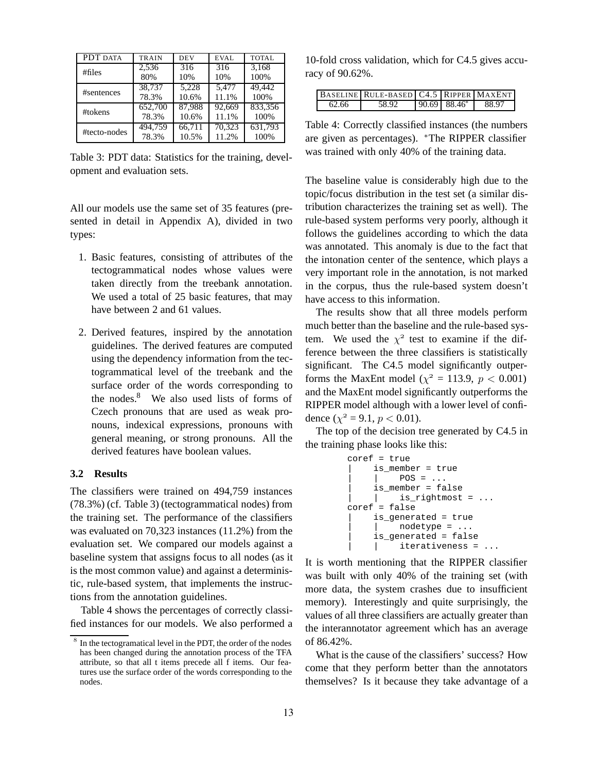| PDT DATA     | <b>TRAIN</b> | <b>DEV</b>       | <b>EVAL</b> | <b>TOTAL</b> |
|--------------|--------------|------------------|-------------|--------------|
| # files      | 2,536        | $\overline{316}$ | 316         | 3.168        |
|              | 80%          | 10%              | 10%         | 100%         |
| #sentences   | 38.737       | 5.228            | 5.477       | 49.442       |
|              | 78.3%        | 10.6%            | 11.1%       | 100%         |
| #tokens      | 652,700      | 87,988           | 92.669      | 833.356      |
|              | 78.3%        | 10.6%            | 11.1%       | 100%         |
| #tecto-nodes | 494.759      | 66.711           | 70,323      | 631.793      |
|              | 78.3%        | 10.5%            | 11.2%       | 100%         |

Table 3: PDT data: Statistics for the training, development and evaluation sets.

All our models use the same set of 35 features (presented in detail in Appendix A), divided in two types:

- 1. Basic features, consisting of attributes of the tectogrammatical nodes whose values were taken directly from the treebank annotation. We used a total of 25 basic features, that may have between 2 and 61 values.
- 2. Derived features, inspired by the annotation guidelines. The derived features are computed using the dependency information from the tectogrammatical level of the treebank and the surface order of the words corresponding to the nodes. $8$  We also used lists of forms of Czech pronouns that are used as weak pronouns, indexical expressions, pronouns with general meaning, or strong pronouns. All the derived features have boolean values.

### **3.2 Results**

The classifiers were trained on 494,759 instances (78.3%) (cf. Table 3) (tectogrammatical nodes) from the training set. The performance of the classifiers was evaluated on 70,323 instances (11.2%) from the evaluation set. We compared our models against a baseline system that assigns focus to all nodes (as it is the most common value) and against a deterministic, rule-based system, that implements the instructions from the annotation guidelines.

Table 4 shows the percentages of correctly classified instances for our models. We also performed a

10-fold cross validation, which for C4.5 gives accuracy of 90.62%.

|       | <b>BASELINE RULE-BASED C4.5 RIPPER MAXENT</b> |                            |       |
|-------|-----------------------------------------------|----------------------------|-------|
| 62.66 | 58.92                                         | $90.69$ 88.46 <sup>*</sup> | 88.97 |

Table 4: Correctly classified instances (the numbers are given as percentages). ∗The RIPPER classifier was trained with only 40% of the training data.

The baseline value is considerably high due to the topic/focus distribution in the test set (a similar distribution characterizes the training set as well). The rule-based system performs very poorly, although it follows the guidelines according to which the data was annotated. This anomaly is due to the fact that the intonation center of the sentence, which plays a very important role in the annotation, is not marked in the corpus, thus the rule-based system doesn't have access to this information.

The results show that all three models perform much better than the baseline and the rule-based system. We used the  $\chi^2$  test to examine if the difference between the three classifiers is statistically significant. The C4.5 model significantly outperforms the MaxEnt model ( $\chi^2 = 113.9$ ,  $p < 0.001$ ) and the MaxEnt model significantly outperforms the RIPPER model although with a lower level of confidence ( $\chi^2$  = 9.1,  $p$  < 0.01).

The top of the decision tree generated by C4.5 in the training phase looks like this:

```
coref = true
| is_member = true
     POS = ...| is_member = false
\vert is_rightmost = \ldotscoref = false
| is_generated = true
     nodetype = ...is_generated = false
| iterativeness =
```
It is worth mentioning that the RIPPER classifier was built with only 40% of the training set (with more data, the system crashes due to insufficient memory). Interestingly and quite surprisingly, the values of all three classifiers are actually greater than the interannotator agreement which has an average of 86.42%.

What is the cause of the classifiers' success? How come that they perform better than the annotators themselves? Is it because they take advantage of a

 $8\,$  In the tectogramatical level in the PDT, the order of the nodes has been changed during the annotation process of the TFA attribute, so that all t items precede all f items. Our features use the surface order of the words corresponding to the nodes.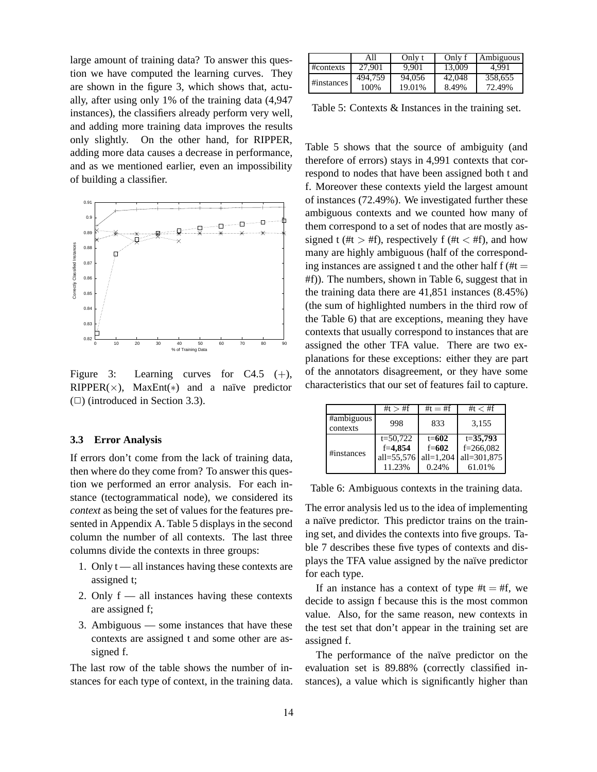large amount of training data? To answer this question we have computed the learning curves. They are shown in the figure 3, which shows that, actually, after using only 1% of the training data (4,947 instances), the classifiers already perform very well, and adding more training data improves the results only slightly. On the other hand, for RIPPER, adding more data causes a decrease in performance, and as we mentioned earlier, even an impossibility of building a classifier.



Figure 3: Learning curves for  $C4.5$  (+), RIPPER( $\times$ ), MaxEnt(\*) and a naïve predictor  $(\Box)$  (introduced in Section 3.3).

### **3.3 Error Analysis**

If errors don't come from the lack of training data, then where do they come from? To answer this question we performed an error analysis. For each instance (tectogrammatical node), we considered its *context* as being the set of values for the features presented in Appendix A. Table 5 displays in the second column the number of all contexts. The last three columns divide the contexts in three groups:

- 1. Only  $t$  all instances having these contexts are assigned t;
- 2. Only f all instances having these contexts are assigned f;
- 3. Ambiguous some instances that have these contexts are assigned t and some other are assigned f.

The last row of the table shows the number of instances for each type of context, in the training data.

|               | All     | Only t | Only f | Ambiguous |
|---------------|---------|--------|--------|-----------|
| $\# contexts$ | 27.901  | 9.901  | 13,009 | 4.991     |
| #instances    | 494.759 | 94.056 | 42,048 | 358.655   |
|               | 100%    | 19.01% | 8.49%  | 72.49%    |

Table 5: Contexts & Instances in the training set.

Table 5 shows that the source of ambiguity (and therefore of errors) stays in 4,991 contexts that correspond to nodes that have been assigned both t and f. Moreover these contexts yield the largest amount of instances (72.49%). We investigated further these ambiguous contexts and we counted how many of them correspond to a set of nodes that are mostly assigned t (#t  $>$  #f), respectively f (#t  $<$  #f), and how many are highly ambiguous (half of the corresponding instances are assigned t and the other half  $f$  (#t = #f)). The numbers, shown in Table 6, suggest that in the training data there are 41,851 instances (8.45%) (the sum of highlighted numbers in the third row of the Table 6) that are exceptions, meaning they have contexts that usually correspond to instances that are assigned the other TFA value. There are two explanations for these exceptions: either they are part of the annotators disagreement, or they have some characteristics that our set of features fail to capture.

|                        | # $t > #f$                 | # $t = #f$ | #t $<$ #f     |
|------------------------|----------------------------|------------|---------------|
| #ambiguous<br>contexts | 998                        | 833        | 3,155         |
|                        | $t = 50,722$               | $t = 602$  | $t = 35,793$  |
|                        | $f = 4.854$                | $f = 602$  | $f = 266,082$ |
| #instances             | all= $55,576$ all= $1,204$ |            | all=301,875   |
|                        | 11.23%                     | 0.24%      | 61.01%        |

Table 6: Ambiguous contexts in the training data.

The error analysis led us to the idea of implementing a naïve predictor. This predictor trains on the training set, and divides the contexts into five groups. Table 7 describes these five types of contexts and displays the TFA value assigned by the naïve predictor for each type.

If an instance has a context of type  $#t = #f$ , we decide to assign f because this is the most common value. Also, for the same reason, new contexts in the test set that don't appear in the training set are assigned f.

The performance of the naïve predictor on the evaluation set is 89.88% (correctly classified instances), a value which is significantly higher than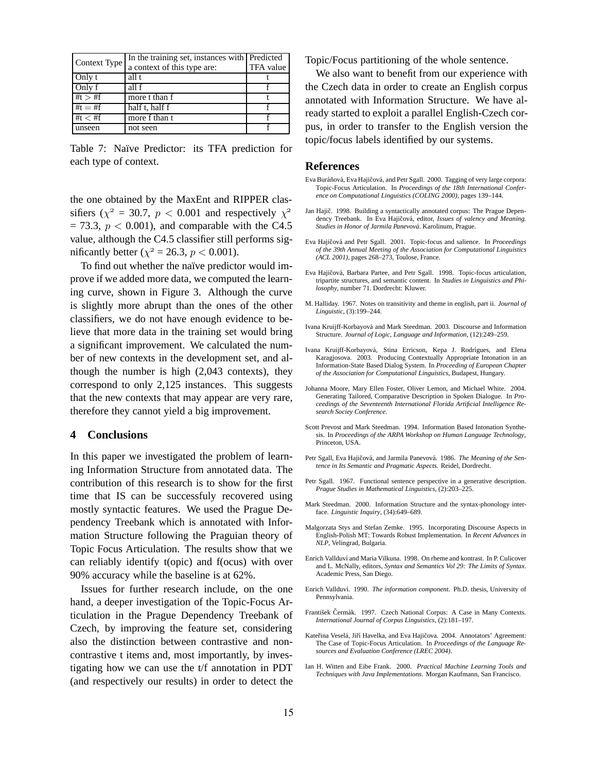| Context Type | In the training set, instances with Predicted |           |
|--------------|-----------------------------------------------|-----------|
|              | a context of this type are:                   | TFA value |
| Only t       | all t                                         |           |
| Only f       | all f                                         |           |
| # $t > #f$   | more t than f                                 |           |
| #t $=$ #f    | half t, half f                                |           |
| #t $<$ #f    | more f than t                                 |           |
| unseen       | not seen                                      |           |

Table 7: Naïve Predictor: its TFA prediction for each type of context.

the one obtained by the MaxEnt and RIPPER classifiers ( $\chi^2$  = 30.7,  $p < 0.001$  and respectively  $\chi^2$  $= 73.3, p < 0.001$ , and comparable with the C4.5 value, although the C4.5 classifier still performs significantly better ( $\chi^2 = 26.3$ ,  $p < 0.001$ ).

To find out whether the naïve predictor would improve if we added more data, we computed the learning curve, shown in Figure 3. Although the curve is slightly more abrupt than the ones of the other classifiers, we do not have enough evidence to believe that more data in the training set would bring a significant improvement. We calculated the number of new contexts in the development set, and although the number is high (2,043 contexts), they correspond to only 2,125 instances. This suggests that the new contexts that may appear are very rare, therefore they cannot yield a big improvement.

#### **4 Conclusions**

In this paper we investigated the problem of learning Information Structure from annotated data. The contribution of this research is to show for the first time that IS can be successfuly recovered using mostly syntactic features. We used the Prague Dependency Treebank which is annotated with Information Structure following the Praguian theory of Topic Focus Articulation. The results show that we can reliably identify t(opic) and f(ocus) with over 90% accuracy while the baseline is at 62%.

Issues for further research include, on the one hand, a deeper investigation of the Topic-Focus Articulation in the Prague Dependency Treebank of Czech, by improving the feature set, considering also the distinction between contrastive and noncontrastive t items and, most importantly, by investigating how we can use the t/f annotation in PDT (and respectively our results) in order to detect the

Topic/Focus partitioning of the whole sentence.

We also want to benefit from our experience with the Czech data in order to create an English corpus annotated with Information Structure. We have already started to exploit a parallel English-Czech corpus, in order to transfer to the English version the topic/focus labels identified by our systems.

#### **References**

- Eva Buráňová, Eva Hajičová, and Petr Sgall. 2000. Tagging of very large corpora: Topic-Focus Articulation. In *Proceedings of the 18th International Conference on Computational Linguistics (COLING 2000)*, pages 139–144.
- Jan Hajič. 1998. Building a syntactically annotated corpus: The Prague Dependency Treebank. In Eva Hajičová, editor, *Issues of valency and Meaning*. Studies in Honor of Jarmila Panevová. Karolinum, Prague.
- Eva Hajičová and Petr Sgall. 2001. Topic-focus and salience. In *Proceedings of the 39th Annual Meeting of the Association for Computational Linguistics (ACL 2001)*, pages 268–273, Toulose, France.
- Eva Hajičová, Barbara Partee, and Petr Sgall. 1998. Topic-focus articulation, tripartite structures, and semantic content. In *Studies in Linguistics and Philosophy*, number 71. Dordrecht: Kluwer.
- M. Halliday. 1967. Notes on transitivity and theme in english, part ii. *Journal of Linguistic*, (3):199–244.
- Ivana Kruijff-Korbayová and Mark Steedman. 2003. Discourse and Information Structure. *Journal of Logic, Language and Information*, (12):249–259.
- Ivana Kruijff-Korbayová, Stina Erricson, Kepa J. Rodrígues, and Elena Karagjosova. 2003. Producing Contextually Appropriate Intonation in an Information-State Based Dialog System. In *Proceeding of European Chapter of the Association for Computational Linguistics*, Budapest, Hungary.
- Johanna Moore, Mary Ellen Foster, Oliver Lemon, and Michael White. 2004. Generating Tailored, Comparative Description in Spoken Dialogue. In *Proceedings of the Seventeenth International Florida Artificial Intelligence Research Sociey Conference*.
- Scott Prevost and Mark Steedman. 1994. Information Based Intonation Synthesis. In *Proceedings of the ARPA Workshop on Human Language Technology*, Princeton, USA.
- Petr Sgall, Eva Hajičová, and Jarmila Panevová. 1986. *The Meaning of the Sentence in Its Semantic and Pragmatic Aspects.* Reidel, Dordrecht.
- Petr Sgall. 1967. Functional sentence perspective in a generative description. *Prague Studies in Mathematical Linguistics*, (2):203–225.
- Mark Steedman. 2000. Information Structure and the syntax-phonology interface. *Linguistic Inquiry*, (34):649–689.
- Malgorzata Stys and Stefan Zemke. 1995. Incorporating Discourse Aspects in English-Polish MT: Towards Robust Implementation. In *Recent Advances in NLP*, Velingrad, Bulgaria.
- Enrich Vallduví and Maria Vilkuna. 1998. On rheme and kontrast. In P. Culicover and L. McNally, editors, *Syntax and Semantics Vol 29: The Limits of Syntax*. Academic Press, San Diego.
- Enrich Vallduví. 1990. *The information component*. Ph.D. thesis, University of Pennsylvania.
- František Čermák. 1997. Czech National Corpus: A Case in Many Contexts. *International Journal of Corpus Linguistics*, (2):181–197.
- Kateřina Veselá, Jiří Havelka, and Eva Hajičova. 2004. Annotators' Agreement: The Case of Topic-Focus Articulation. In *Proceedings of the Language Resources and Evaluation Conference (LREC 2004)*.
- Ian H. Witten and Eibe Frank. 2000. *Practical Machine Learning Tools and Techniques with Java Implementations*. Morgan Kaufmann, San Francisco.